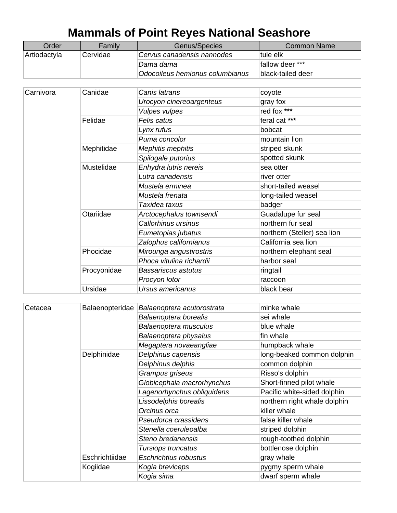## **Mammals of Point Reyes National Seashore**

| Order        | Family   | Genus/Species                   | Common Name       |
|--------------|----------|---------------------------------|-------------------|
| Artiodactyla | Cervidae | Cervus canadensis nannodes      | tule elk          |
|              |          | Dama dama                       | Ifallow deer ***  |
|              |          | Odocoileus hemionus columbianus | black-tailed deer |

| Carnivora | Canidae     | Canis latrans            | coyote                      |
|-----------|-------------|--------------------------|-----------------------------|
|           |             | Urocyon cinereoargenteus | gray fox                    |
|           |             | <b>Vulpes vulpes</b>     | red fox ***                 |
|           | Felidae     | Felis catus              | feral cat ***               |
|           |             | Lynx rufus               | bobcat                      |
|           |             | Puma concolor            | mountain lion               |
|           | Mephitidae  | Mephitis mephitis        | striped skunk               |
|           |             | Spilogale putorius       | spotted skunk               |
|           | Mustelidae  | Enhydra lutris nereis    | sea otter                   |
|           |             | Lutra canadensis         | river otter                 |
|           |             | Mustela erminea          | short-tailed weasel         |
|           |             | Mustela frenata          | long-tailed weasel          |
|           |             | Taxidea taxus            | badger                      |
|           | Otariidae   | Arctocephalus townsendi  | Guadalupe fur seal          |
|           |             | Callorhinus ursinus      | northern fur seal           |
|           |             | Eumetopias jubatus       | northern (Steller) sea lion |
|           |             | Zalophus californianus   | California sea lion         |
|           | Phocidae    | Mirounga angustirostris  | northern elephant seal      |
|           |             | Phoca vitulina richardii | harbor seal                 |
|           | Procyonidae | Bassariscus astutus      | ringtail                    |
|           |             | Procyon lotor            | raccoon                     |
|           | Ursidae     | Ursus americanus         | black bear                  |

| Cetacea | Balaenopteridae | Balaenoptera acutorostrata | minke whale                  |
|---------|-----------------|----------------------------|------------------------------|
|         |                 | Balaenoptera borealis      | sei whale                    |
|         |                 | Balaenoptera musculus      | blue whale                   |
|         |                 | Balaenoptera physalus      | fin whale                    |
|         |                 | Megaptera novaeangliae     | humpback whale               |
|         | Delphinidae     | Delphinus capensis         | long-beaked common dolphin   |
|         |                 | Delphinus delphis          | common dolphin               |
|         |                 | Grampus griseus            | Risso's dolphin              |
|         |                 | Globicephala macrorhynchus | Short-finned pilot whale     |
|         |                 | Lagenorhynchus obliquidens | Pacific white-sided dolphin  |
|         |                 | Lissodelphis borealis      | northern right whale dolphin |
|         |                 | Orcinus orca               | killer whale                 |
|         |                 | Pseudorca crassidens       | false killer whale           |
|         |                 | Stenella coeruleoalba      | striped dolphin              |
|         |                 | Steno bredanensis          | rough-toothed dolphin        |
|         |                 | Tursiops truncatus         | bottlenose dolphin           |
|         | Eschrichtiidae  | Eschrichtius robustus      | gray whale                   |
|         | Kogiidae        | Kogia breviceps            | pygmy sperm whale            |
|         |                 | Kogia sima                 | dwarf sperm whale            |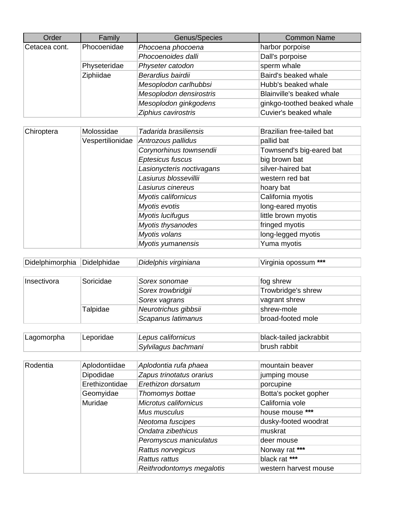| Order         | Family       | Genus/Species           | <b>Common Name</b>          |
|---------------|--------------|-------------------------|-----------------------------|
| Cetacea cont. | Phocoenidae  | Phocoena phocoena       | harbor porpoise             |
|               |              | Phocoenoides dalli      | Dall's porpoise             |
|               | Physeteridae | Physeter catodon        | sperm whale                 |
|               | Ziphiidae    | Berardius bairdii       | Baird's beaked whale        |
|               |              | Mesoplodon carlhubbsi   | Hubb's beaked whale         |
|               |              | Mesoplodon densirostris | Blainville's beaked whale   |
|               |              | Mesoplodon ginkgodens   | ginkgo-toothed beaked whale |
|               |              | Ziphius cavirostris     | Cuvier's beaked whale       |

| Chiroptera | Molossidae       | Tadarida brasiliensis     | Brazilian free-tailed bat |
|------------|------------------|---------------------------|---------------------------|
|            | Vespertilionidae | Antrozous pallidus        | pallid bat                |
|            |                  | Corynorhinus townsendii   | Townsend's big-eared bat  |
|            |                  | Eptesicus fuscus          | big brown bat             |
|            |                  | Lasionycteris noctivagans | silver-haired bat         |
|            |                  | Lasiurus blossevillii     | western red bat           |
|            |                  | Lasiurus cinereus         | hoary bat                 |
|            |                  | Myotis californicus       | California myotis         |
|            |                  | Myotis evotis             | long-eared myotis         |
|            |                  | Myotis lucifugus          | little brown myotis       |
|            |                  | Myotis thysanodes         | fringed myotis            |
|            |                  | Myotis volans             | long-legged myotis        |
|            |                  | Myotis yumanensis         | Yuma myotis               |

| Didelphimorphia Didelphidae | Didelphis virginiana | Virginia opossum *** |
|-----------------------------|----------------------|----------------------|
|                             |                      |                      |

| Insectivora | Soricidae | Sorex sonomae        | fog shrew          |
|-------------|-----------|----------------------|--------------------|
|             |           | Sorex trowbridgii    | Trowbridge's shrew |
|             |           | Sorex vagrans        | vagrant shrew      |
|             | Talpidae  | Neurotrichus gibbsii | shrew-mole         |
|             |           | Scapanus latimanus   | broad-footed mole  |

| Lagomorpha | Leporidae | Lepus californicus  | black-tailed jackrabbit |
|------------|-----------|---------------------|-------------------------|
|            |           | Sylvilagus bachmani | ∣brush rabbit           |

| Rodentia | Aplodontiidae  | Aplodontia rufa phaea     | mountain beaver       |
|----------|----------------|---------------------------|-----------------------|
|          | Dipodidae      | Zapus trinotatus orarius  | jumping mouse         |
|          | Erethizontidae | Erethizon dorsatum        | porcupine             |
|          | Geomyidae      | Thomomys bottae           | Botta's pocket gopher |
|          | Muridae        | Microtus californicus     | California vole       |
|          |                | Mus musculus              | house mouse ***       |
|          |                | Neotoma fuscipes          | dusky-footed woodrat  |
|          |                | Ondatra zibethicus        | muskrat               |
|          |                | Peromyscus maniculatus    | deer mouse            |
|          |                | Rattus norvegicus         | Norway rat ***        |
|          |                | Rattus rattus             | black rat ***         |
|          |                | Reithrodontomys megalotis | western harvest mouse |